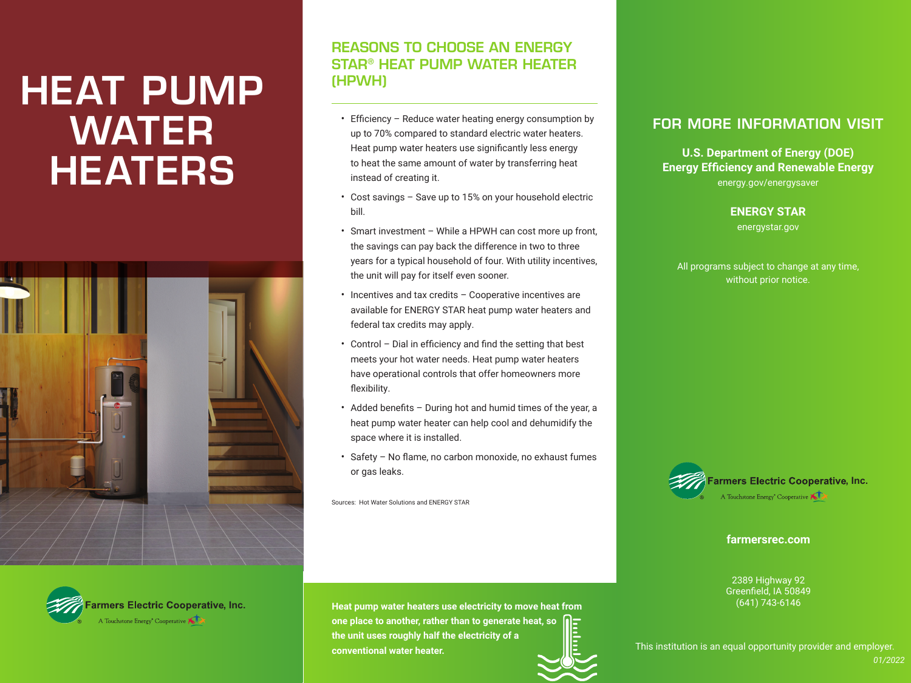# HEAT PUMP WATER **HEATERS**



## REASONS TO CHOOSE AN ENERGY STAR® HEAT PUMP WATER HEATER (HPWH)

- Efficiency Reduce water heating energy consumption by up to 70% compared to standard electric water heaters. Heat pump water heaters use significantly less energy to heat the same amount of water by transferring heat instead of creating it.
- Cost savings Save up to 15% on your household electric bill.
- Smart investment While a HPWH can cost more up front, the savings can pay back the difference in two to three years for a typical household of four. With utility incentives, the unit will pay for itself even sooner.
- Incentives and tax credits Cooperative incentives are available for ENERGY STAR heat pump water heaters and federal tax credits may apply.
- Control Dial in efficiency and find the setting that best meets your hot water needs. Heat pump water heaters have operational controls that offer homeowners more flexibility.
- Added benefits During hot and humid times of the year, a heat pump water heater can help cool and dehumidify the space where it is installed.
- Safety No flame, no carbon monoxide, no exhaust fumes or gas leaks.

Sources: Hot Water Solutions and ENERGY STAR

#### FOR MORE INFORMATION VISIT

**U.S. Department of Energy (DOE) Energy Efficiency and Renewable Energy**  energy.gov/energysaver

**ENERGY STAR**

energystar.gov

All programs subject to change at any time, without prior notice.



**farmersrec.com**

2389 Highway 92 Greenfield, IA 50849 (641) 743-6146



**Heat pump water heaters use electricity to move heat from one place to another, rather than to generate heat, so the unit uses roughly half the electricity of a conventional water heater.**

This institution is an equal opportunity provider and employer.

*01/2022*